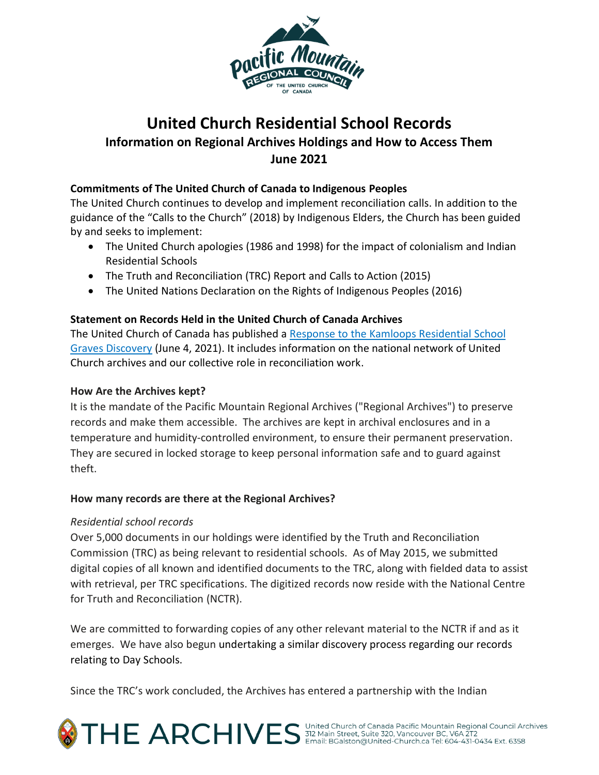

# **United Church Residential School Records Information on Regional Archives Holdings and How to Access Them June 2021**

## **Commitments of The United Church of Canada to Indigenous Peoples**

The United Church continues to develop and implement reconciliation calls. In addition to the guidance of the "Calls to the Church" (2018) by Indigenous Elders, the Church has been guided by and seeks to implement:

- The United Church apologies (1986 and 1998) for the impact of colonialism and Indian Residential Schools
- The Truth and Reconciliation (TRC) Report and Calls to Action (2015)
- The United Nations Declaration on the Rights of Indigenous Peoples (2016)

## **Statement on Records Held in the United Church of Canada Archives**

The United Church of Canada has [published a Response to the Kamloops Residential School](https://united-church.ca/news/response-kamloops-residential-school-graves-discovery) [Graves Discovery](https://united-church.ca/news/response-kamloops-residential-school-graves-discovery) (June 4, 2021). It includes information on the national network of United Church archives and our collective role in reconciliation work.

### **How Are the Archives kept?**

It is the mandate of the Pacific Mountain Regional Archives ("Regional Archives") to preserve records and make them accessible. The archives are kept in archival enclosures and in a temperature and humidity-controlled environment, to ensure their permanent preservation. They are secured in locked storage to keep personal information safe and to guard against theft.

### **How many records are there at the Regional Archives?**

### *Residential school records*

Over 5,000 documents in our holdings were identified by the Truth and Reconciliation Commission (TRC) as being relevant to residential schools. As of May 2015, we submitted digital copies of all known and identified documents to the TRC, along with fielded data to assist with retrieval, per TRC specifications. The digitized records now reside with the National Centre for Truth and Reconciliation (NCTR).

We are committed to forwarding copies of any other relevant material to the NCTR if and as it emerges. We have also begun undertaking a similar discovery process regarding our records relating to Day Schools.

Since the TRC's work concluded, the Archives has entered a partnership with the Indian

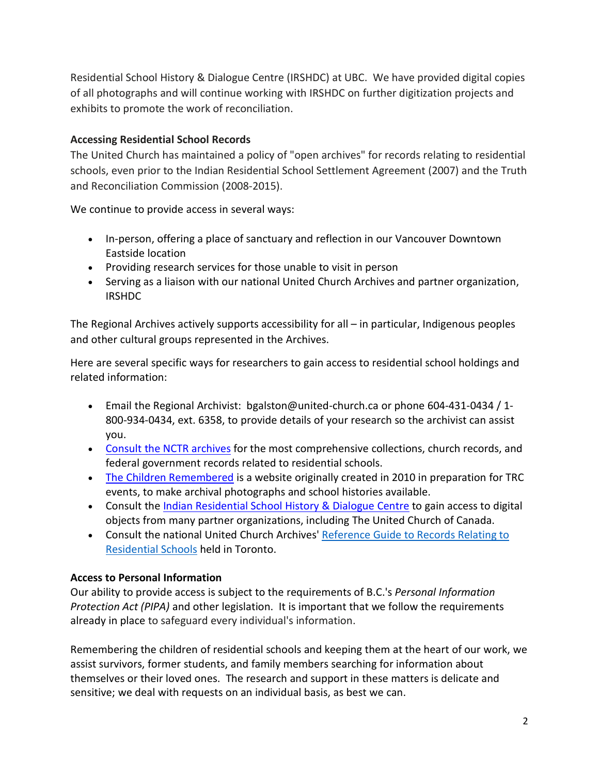Residential School History & Dialogue Centre (IRSHDC) at UBC. We have provided digital copies of all photographs and will continue working with IRSHDC on further digitization projects and exhibits to promote the work of reconciliation.

## **Accessing Residential School Records**

The United Church has maintained a policy of "open archives" for records relating to residential schools, even prior to the Indian Residential School Settlement Agreement (2007) and the Truth and Reconciliation Commission (2008-2015).

We continue to provide access in several ways:

- In-person, offering a place of sanctuary and reflection in our Vancouver Downtown Eastside location
- Providing research services for those unable to visit in person
- Serving as a liaison with our national United Church Archives and partner organization, IRSHDC

The Regional Archives actively supports accessibility for all – in particular, Indigenous peoples and other cultural groups represented in the Archives.

Here are several specific ways for researchers to gain access to residential school holdings and related information:

- Email the Regional Archivist: bgalston@united-church.ca or phone 604-431-0434 / 1- 800-934-0434, ext. 6358, to provide details of your research so the archivist can assist you.
- [Consult](https://thechildrenremembered.ca/) the NCTR [archives](https://thechildrenremembered.ca/) for the most comprehensive collections, church records, and federal government records related to residential schools.
- The Children [Remembered](http://thechildrenremembered.ca/) is a website originally created in 2010 in preparation for TRC events, to make archival photographs and school histories available.
- Consult the Indian [Residential](https://collections.irshdc.ubc.ca/index.php) School History & Dialogue Centre to gain access to digital objects from many partner organizations, including The United Church of Canada.
- Consult the national United Church Archives' [Reference](https://www.unitedchurcharchives.ca/wp-content/uploads/2018/02/Public-Guide-to-Residential-Schools_2016.pdf) Guide to Records Relating to [Residential](https://www.unitedchurcharchives.ca/wp-content/uploads/2018/02/Public-Guide-to-Residential-Schools_2016.pdf) Schools held in Toronto.

### **Access to Personal Information**

Our ability to provide access is subject to the requirements of B.C.'s *Personal Information Protection Act (PIPA)* and other legislation. It is important that we follow the requirements already in place to safeguard every individual's information.

Remembering the children of residential schools and keeping them at the heart of our work, we assist survivors, former students, and family members searching for information about themselves or their loved ones. The research and support in these matters is delicate and sensitive; we deal with requests on an individual basis, as best we can.